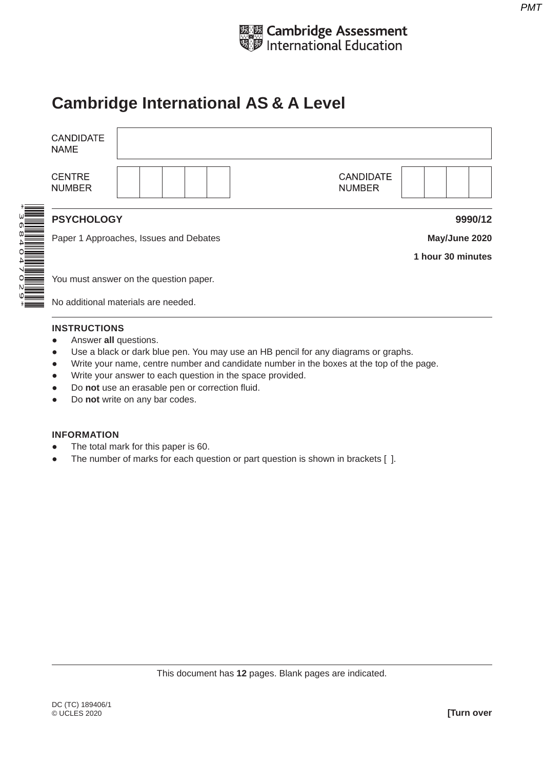

# **Cambridge International AS & A Level**

| <b>CANDIDATE</b><br><b>NAME</b>     |                                        |                                   |                   |
|-------------------------------------|----------------------------------------|-----------------------------------|-------------------|
| <b>CENTRE</b><br><b>NUMBER</b>      |                                        | <b>CANDIDATE</b><br><b>NUMBER</b> |                   |
| <b>PSYCHOLOGY</b>                   |                                        |                                   | 9990/12           |
|                                     | Paper 1 Approaches, Issues and Debates |                                   | May/June 2020     |
|                                     |                                        |                                   | 1 hour 30 minutes |
|                                     | You must answer on the question paper. |                                   |                   |
| No additional materials are needed. |                                        |                                   |                   |

**INSTRUCTIONS**

- **•** Answer all questions.
- Use a black or dark blue pen. You may use an HB pencil for any diagrams or graphs.
- Write your name, centre number and candidate number in the boxes at the top of the page.
- Write your answer to each question in the space provided.
- Do **not** use an erasable pen or correction fluid.
- Do **not** write on any bar codes.

#### **INFORMATION**

- The total mark for this paper is 60.
- The number of marks for each question or part question is shown in brackets [ ].

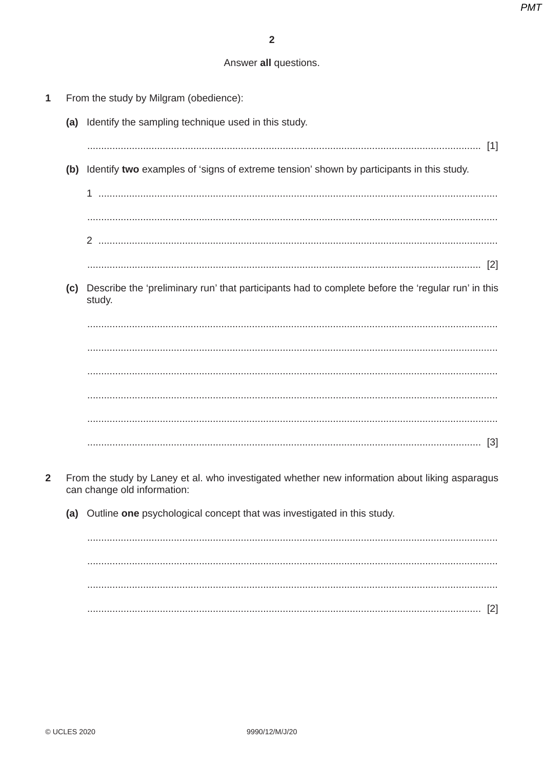# Answer all questions.

| 1            |     | From the study by Milgram (obedience):                                                                                        |  |
|--------------|-----|-------------------------------------------------------------------------------------------------------------------------------|--|
|              |     | (a) Identify the sampling technique used in this study.                                                                       |  |
|              | (b) | Identify two examples of 'signs of extreme tension' shown by participants in this study.                                      |  |
|              |     |                                                                                                                               |  |
|              |     |                                                                                                                               |  |
|              |     |                                                                                                                               |  |
|              | (c) | Describe the 'preliminary run' that participants had to complete before the 'regular run' in this<br>study.                   |  |
|              |     |                                                                                                                               |  |
|              |     |                                                                                                                               |  |
|              |     |                                                                                                                               |  |
|              |     |                                                                                                                               |  |
|              |     |                                                                                                                               |  |
| $\mathbf{2}$ |     | From the study by Laney et al. who investigated whether new information about liking asparagus<br>can change old information: |  |
|              | (a) | Outline one psychological concept that was investigated in this study.                                                        |  |
|              |     |                                                                                                                               |  |
|              |     |                                                                                                                               |  |
|              |     | $[2]$                                                                                                                         |  |
|              |     |                                                                                                                               |  |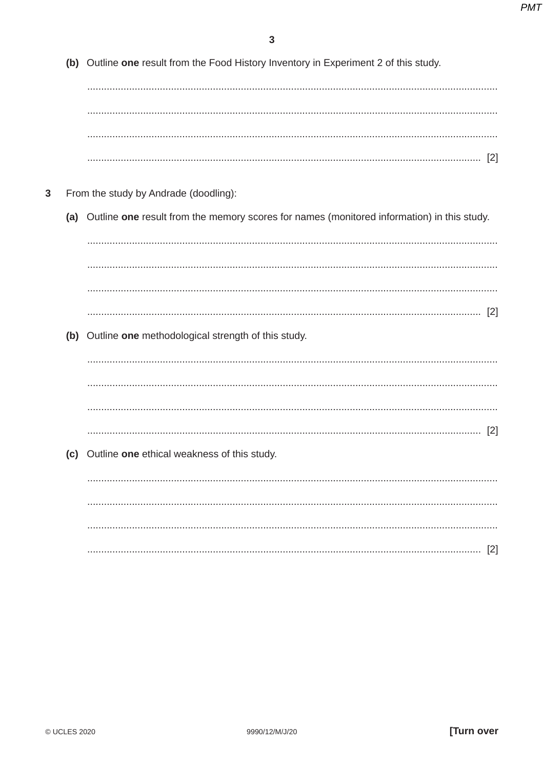|              | (b) Outline one result from the Food History Inventory in Experiment 2 of this study.          |
|--------------|------------------------------------------------------------------------------------------------|
|              |                                                                                                |
|              |                                                                                                |
|              |                                                                                                |
| $\mathbf{3}$ | From the study by Andrade (doodling):                                                          |
|              | (a) Outline one result from the memory scores for names (monitored information) in this study. |
|              |                                                                                                |
|              |                                                                                                |
|              |                                                                                                |
|              | (b) Outline one methodological strength of this study.                                         |
|              |                                                                                                |
|              |                                                                                                |
|              |                                                                                                |
|              | (c) Outline one ethical weakness of this study.                                                |
|              |                                                                                                |
|              |                                                                                                |
|              | [2]                                                                                            |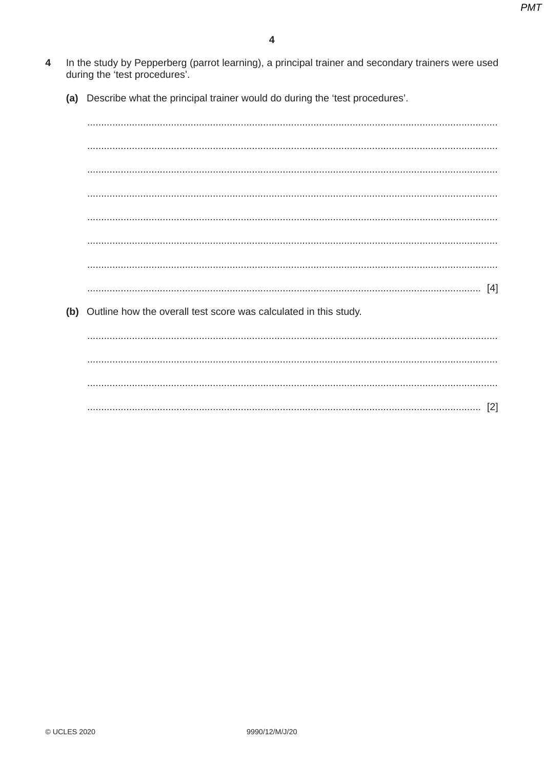- In the study by Pepperberg (parrot learning), a principal trainer and secondary trainers were used  $\overline{\mathbf{A}}$ during the 'test procedures'.
	- (a) Describe what the principal trainer would do during the 'test procedures'.

(b) Outline how the overall test score was calculated in this study.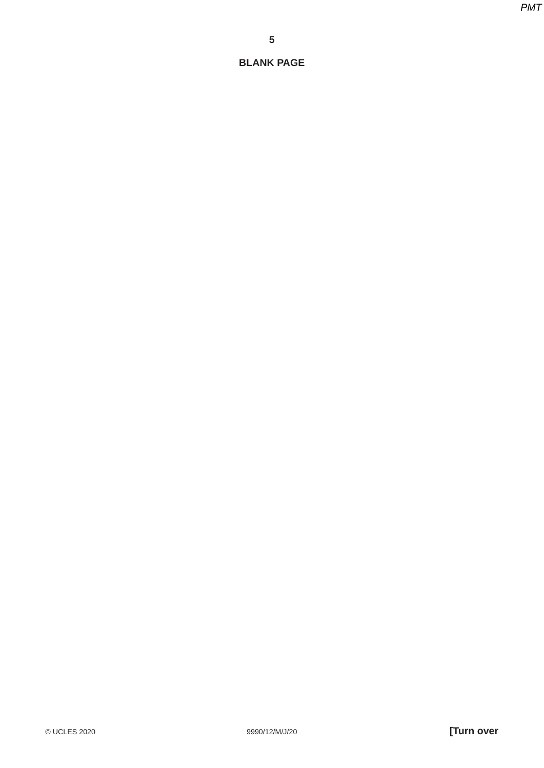# $\overline{\mathbf{5}}$

## **BLANK PAGE**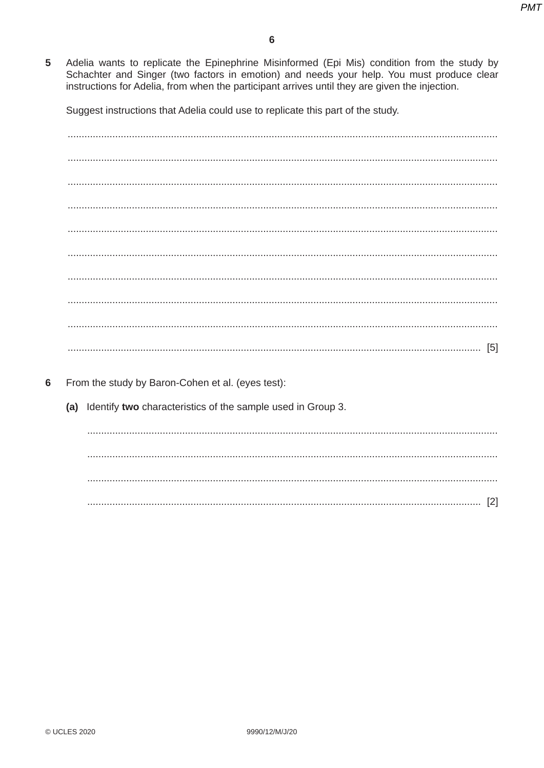5 Adelia wants to replicate the Epinephrine Misinformed (Epi Mis) condition from the study by Schachter and Singer (two factors in emotion) and needs your help. You must produce clear instructions for Adelia, from when the participant arrives until they are given the injection.

Suggest instructions that Adelia could use to replicate this part of the study.

- 6 From the study by Baron-Cohen et al. (eyes test):
	- (a) Identify two characteristics of the sample used in Group 3.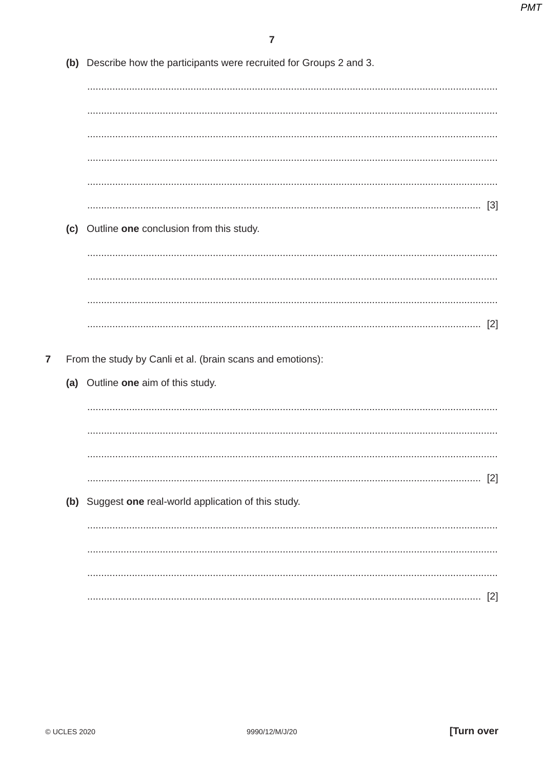|                          | (b) Describe how the participants were recruited for Groups 2 and 3. |
|--------------------------|----------------------------------------------------------------------|
|                          |                                                                      |
|                          |                                                                      |
|                          |                                                                      |
|                          |                                                                      |
|                          | (c) Outline one conclusion from this study.                          |
|                          |                                                                      |
|                          |                                                                      |
|                          | $[2]$                                                                |
| $\overline{\phantom{a}}$ | From the study by Canli et al. (brain scans and emotions):           |
|                          | (a) Outline one aim of this study.                                   |
|                          |                                                                      |
|                          |                                                                      |
|                          | $[2]$                                                                |
|                          | (b) Suggest one real-world application of this study.                |
|                          |                                                                      |
|                          |                                                                      |
|                          | $[2]$                                                                |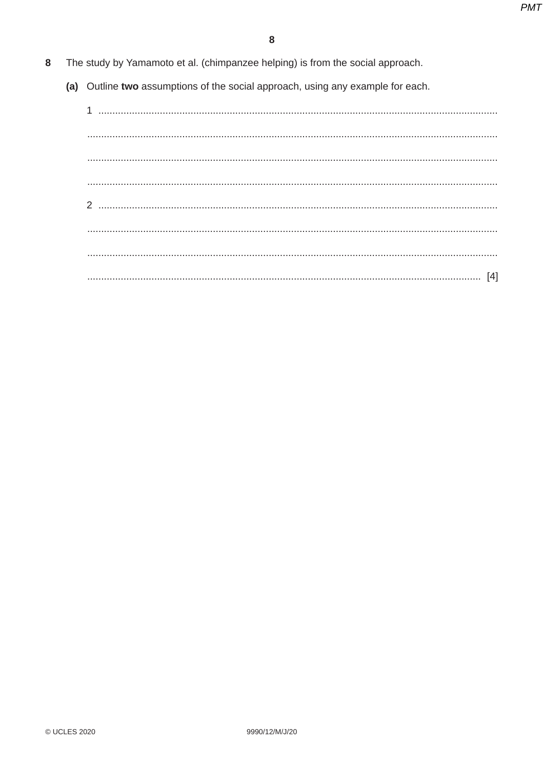- 8 The study by Yamamoto et al. (chimpanzee helping) is from the social approach.
	- (a) Outline two assumptions of the social approach, using any example for each.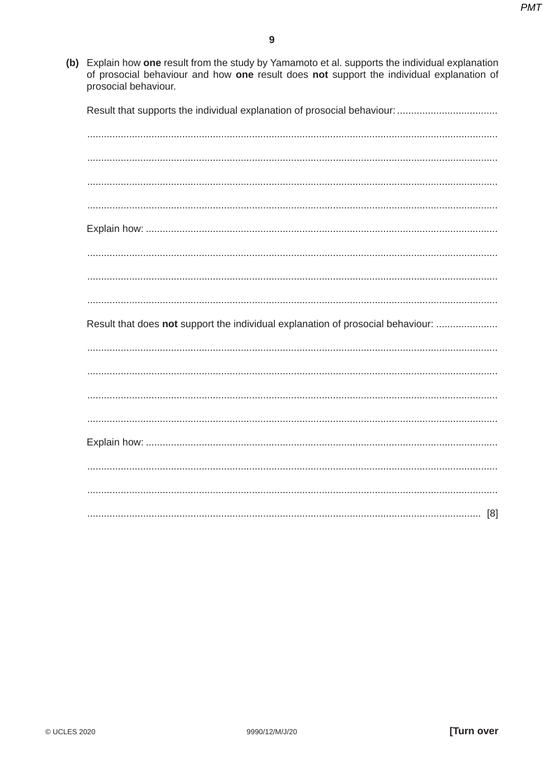(b) Explain how one result from the study by Yamamoto et al. supports the individual explanation of prosocial behaviour and how one result does not support the individual explanation of prosocial behaviour.

Result that does not support the individual explanation of prosocial behaviour: ....................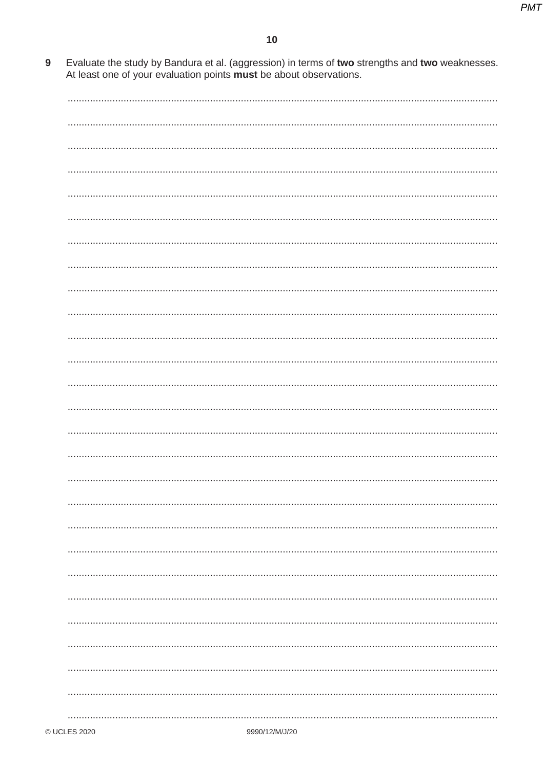Evaluate the study by Bandura et al. (aggression) in terms of two strengths and two weaknesses.<br>At least one of your evaluation points must be about observations. 9

9990/12/M/J/20